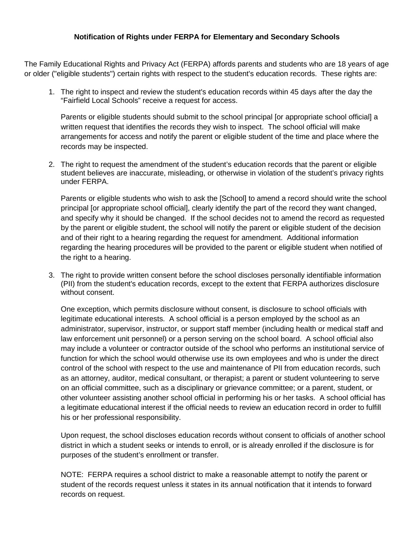## **Notification of Rights under FERPA for Elementary and Secondary Schools**

The Family Educational Rights and Privacy Act (FERPA) affords parents and students who are 18 years of age or older ("eligible students") certain rights with respect to the student's education records. These rights are:

1. The right to inspect and review the student's education records within 45 days after the day the "Fairfield Local Schools" receive a request for access.

Parents or eligible students should submit to the school principal [or appropriate school official] a written request that identifies the records they wish to inspect. The school official will make arrangements for access and notify the parent or eligible student of the time and place where the records may be inspected.

2. The right to request the amendment of the student's education records that the parent or eligible student believes are inaccurate, misleading, or otherwise in violation of the student's privacy rights under FERPA.

Parents or eligible students who wish to ask the [School] to amend a record should write the school principal [or appropriate school official], clearly identify the part of the record they want changed, and specify why it should be changed. If the school decides not to amend the record as requested by the parent or eligible student, the school will notify the parent or eligible student of the decision and of their right to a hearing regarding the request for amendment. Additional information regarding the hearing procedures will be provided to the parent or eligible student when notified of the right to a hearing.

3. The right to provide written consent before the school discloses personally identifiable information (PII) from the student's education records, except to the extent that FERPA authorizes disclosure without consent.

One exception, which permits disclosure without consent, is disclosure to school officials with legitimate educational interests. A school official is a person employed by the school as an administrator, supervisor, instructor, or support staff member (including health or medical staff and law enforcement unit personnel) or a person serving on the school board. A school official also may include a volunteer or contractor outside of the school who performs an institutional service of function for which the school would otherwise use its own employees and who is under the direct control of the school with respect to the use and maintenance of PII from education records, such as an attorney, auditor, medical consultant, or therapist; a parent or student volunteering to serve on an official committee, such as a disciplinary or grievance committee; or a parent, student, or other volunteer assisting another school official in performing his or her tasks. A school official has a legitimate educational interest if the official needs to review an education record in order to fulfill his or her professional responsibility.

Upon request, the school discloses education records without consent to officials of another school district in which a student seeks or intends to enroll, or is already enrolled if the disclosure is for purposes of the student's enrollment or transfer.

NOTE: FERPA requires a school district to make a reasonable attempt to notify the parent or student of the records request unless it states in its annual notification that it intends to forward records on request.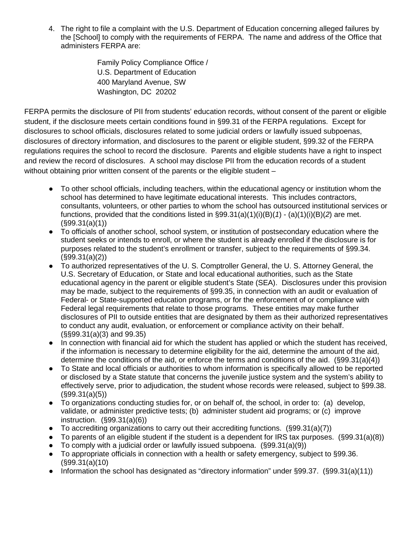4. The right to file a complaint with the U.S. Department of Education concerning alleged failures by the [School] to comply with the requirements of FERPA. The name and address of the Office that administers FERPA are:

> Family Policy Compliance Office / U.S. Department of Education 400 Maryland Avenue, SW Washington, DC 20202

FERPA permits the disclosure of PII from students' education records, without consent of the parent or eligible student, if the disclosure meets certain conditions found in §99.31 of the FERPA regulations. Except for disclosures to school officials, disclosures related to some judicial orders or lawfully issued subpoenas, disclosures of directory information, and disclosures to the parent or eligible student, §99.32 of the FERPA regulations requires the school to record the disclosure. Parents and eligible students have a right to inspect and review the record of disclosures. A school may disclose PII from the education records of a student without obtaining prior written consent of the parents or the eligible student –

- To other school officials, including teachers, within the educational agency or institution whom the school has determined to have legitimate educational interests. This includes contractors, consultants, volunteers, or other parties to whom the school has outsourced institutional services or functions, provided that the conditions listed in §99.31(a)(1)(i)(B)(*1*) - (a)(1)(i)(B)(*2*) are met. (§99.31(a)(1))
- To officials of another school, school system, or institution of postsecondary education where the student seeks or intends to enroll, or where the student is already enrolled if the disclosure is for purposes related to the student's enrollment or transfer, subject to the requirements of §99.34. (§99.31(a)(2))
- To authorized representatives of the U. S. Comptroller General, the U. S. Attorney General, the U.S. Secretary of Education, or State and local educational authorities, such as the State educational agency in the parent or eligible student's State (SEA). Disclosures under this provision may be made, subject to the requirements of §99.35, in connection with an audit or evaluation of Federal- or State-supported education programs, or for the enforcement of or compliance with Federal legal requirements that relate to those programs. These entities may make further disclosures of PII to outside entities that are designated by them as their authorized representatives to conduct any audit, evaluation, or enforcement or compliance activity on their behalf. (§§99.31(a)(3) and 99.35)
- In connection with financial aid for which the student has applied or which the student has received, if the information is necessary to determine eligibility for the aid, determine the amount of the aid, determine the conditions of the aid, or enforce the terms and conditions of the aid. (§99.31(a)(4))
- To State and local officials or authorities to whom information is specifically allowed to be reported or disclosed by a State statute that concerns the juvenile justice system and the system's ability to effectively serve, prior to adjudication, the student whose records were released, subject to §99.38. (§99.31(a)(5))
- To organizations conducting studies for, or on behalf of, the school, in order to: (a) develop, validate, or administer predictive tests; (b) administer student aid programs; or (c) improve instruction. (§99.31(a)(6))
- To accrediting organizations to carry out their accrediting functions.  $(S99.31(a)(7))$
- To parents of an eligible student if the student is a dependent for IRS tax purposes.  $(S99.31(a)(8))$
- To comply with a judicial order or lawfully issued subpoena.  $(S99.31(a)(9))$
- To appropriate officials in connection with a health or safety emergency, subject to §99.36. (§99.31(a)(10)
- Information the school has designated as "directory information" under §99.37. (§99.31(a)(11))